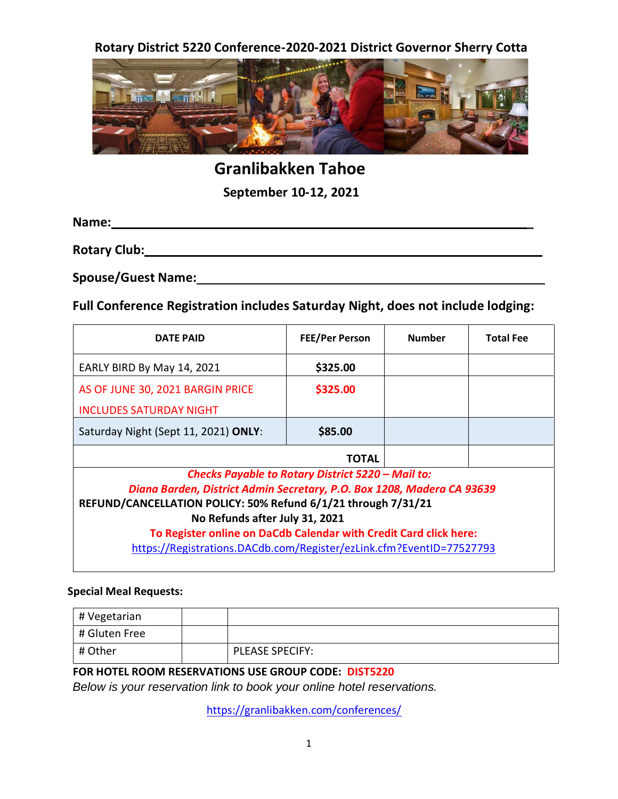**Rotary District 5220 Conference-2020-2021 District Governor Sherry Cotta**



**Granlibakken Tahoe**

**September 10-12, 2021**

**Name: \_** 

**Rotary Club:**

**Spouse/Guest Name:**

**Full Conference Registration includes Saturday Night, does not include lodging:**

| <b>DATE PAID</b>                                                       | <b>FEE/Per Person</b> | <b>Number</b> | <b>Total Fee</b> |  |
|------------------------------------------------------------------------|-----------------------|---------------|------------------|--|
| EARLY BIRD By May 14, 2021                                             | \$325.00              |               |                  |  |
| AS OF JUNE 30, 2021 BARGIN PRICE                                       | \$325.00              |               |                  |  |
| <b>INCLUDES SATURDAY NIGHT</b>                                         |                       |               |                  |  |
| Saturday Night (Sept 11, 2021) ONLY:                                   | \$85.00               |               |                  |  |
| TOTAL                                                                  |                       |               |                  |  |
| Checks Payable to Rotary District 5220 - Mail to:                      |                       |               |                  |  |
| Diana Barden, District Admin Secretary, P.O. Box 1208, Madera CA 93639 |                       |               |                  |  |
| REFUND/CANCELLATION POLICY: 50% Refund 6/1/21 through 7/31/21          |                       |               |                  |  |
| No Refunds after July 31, 2021                                         |                       |               |                  |  |
| To Register online on DaCdb Calendar with Credit Card click here:      |                       |               |                  |  |
| https://Registrations.DACdb.com/Register/ezLink.cfm?EventID=77527793   |                       |               |                  |  |

## **Special Meal Requests:**

| # Vegetarian  |                        |
|---------------|------------------------|
| # Gluten Free |                        |
| # Other       | <b>PLEASE SPECIFY:</b> |

## **FOR HOTEL ROOM RESERVATIONS USE GROUP CODE: DIST5220**

*Below is your reservation link to book your online hotel reservations.*

<https://granlibakken.com/conferences/>